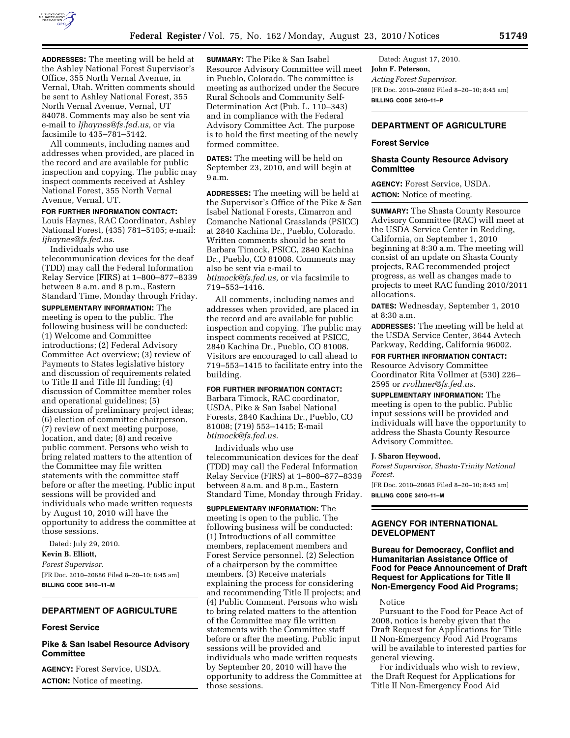

**ADDRESSES:** The meeting will be held at the Ashley National Forest Supervisor's Office, 355 North Vernal Avenue, in Vernal, Utah. Written comments should be sent to Ashley National Forest, 355 North Vernal Avenue, Vernal, UT 84078. Comments may also be sent via e-mail to *[ljhaynes@fs.fed.us,](mailto:ljhaynes@fs.fed.us)* or via facsimile to 435–781–5142.

All comments, including names and addresses when provided, are placed in the record and are available for public inspection and copying. The public may inspect comments received at Ashley National Forest, 355 North Vernal Avenue, Vernal, UT.

### **FOR FURTHER INFORMATION CONTACT:**

Louis Haynes, RAC Coordinator, Ashley National Forest, (435) 781–5105; e-mail: *[ljhaynes@fs.fed.us.](mailto:ljhaynes@fs.fed.us)* 

Individuals who use telecommunication devices for the deaf (TDD) may call the Federal Information Relay Service (FIRS) at 1–800–877–8339 between 8 a.m. and 8 p.m., Eastern Standard Time, Monday through Friday.

**SUPPLEMENTARY INFORMATION:** The meeting is open to the public. The following business will be conducted: (1) Welcome and Committee introductions; (2) Federal Advisory Committee Act overview; (3) review of Payments to States legislative history and discussion of requirements related to Title II and Title III funding; (4) discussion of Committee member roles and operational guidelines; (5) discussion of preliminary project ideas; (6) election of committee chairperson, (7) review of next meeting purpose, location, and date; (8) and receive public comment. Persons who wish to bring related matters to the attention of the Committee may file written statements with the committee staff before or after the meeting. Public input sessions will be provided and individuals who made written requests by August 10, 2010 will have the opportunity to address the committee at those sessions.

Dated: July 29, 2010. **Kevin B. Elliott,**  *Forest Supervisor.*  [FR Doc. 2010–20686 Filed 8–20–10; 8:45 am] **BILLING CODE 3410–11–M** 

# **DEPARTMENT OF AGRICULTURE**

#### **Forest Service**

# **Pike & San Isabel Resource Advisory Committee**

**AGENCY:** Forest Service, USDA. **ACTION:** Notice of meeting.

**SUMMARY:** The Pike & San Isabel Resource Advisory Committee will meet in Pueblo, Colorado. The committee is meeting as authorized under the Secure Rural Schools and Community Self-Determination Act (Pub. L. 110–343) and in compliance with the Federal Advisory Committee Act. The purpose is to hold the first meeting of the newly formed committee.

**DATES:** The meeting will be held on September 23, 2010, and will begin at 9 a.m.

**ADDRESSES:** The meeting will be held at the Supervisor's Office of the Pike & San Isabel National Forests, Cimarron and Comanche National Grasslands (PSICC) at 2840 Kachina Dr., Pueblo, Colorado. Written comments should be sent to Barbara Timock, PSICC, 2840 Kachina Dr., Pueblo, CO 81008. Comments may also be sent via e-mail to *[btimock@fs.fed.us,](mailto:btimock@fs.fed.us)* or via facsimile to 719–553–1416.

All comments, including names and addresses when provided, are placed in the record and are available for public inspection and copying. The public may inspect comments received at PSICC, 2840 Kachina Dr., Pueblo, CO 81008. Visitors are encouraged to call ahead to 719–553–1415 to facilitate entry into the building.

# **FOR FURTHER INFORMATION CONTACT:**

Barbara Timock, RAC coordinator, USDA, Pike & San Isabel National Forests, 2840 Kachina Dr., Pueblo, CO 81008; (719) 553–1415; E-mail *[btimock@fs.fed.us.](mailto:btimock@fs.fed.us)* 

Individuals who use telecommunication devices for the deaf (TDD) may call the Federal Information Relay Service (FIRS) at 1–800–877–8339 between 8 a.m. and 8 p.m., Eastern Standard Time, Monday through Friday.

**SUPPLEMENTARY INFORMATION:** The meeting is open to the public. The following business will be conducted: (1) Introductions of all committee members, replacement members and Forest Service personnel. (2) Selection of a chairperson by the committee members. (3) Receive materials explaining the process for considering and recommending Title II projects; and (4) Public Comment. Persons who wish to bring related matters to the attention of the Committee may file written statements with the Committee staff before or after the meeting. Public input sessions will be provided and individuals who made written requests by September 20, 2010 will have the opportunity to address the Committee at those sessions.

Dated: August 17, 2010. **John F. Peterson,**  *Acting Forest Supervisor.*  [FR Doc. 2010–20802 Filed 8–20–10; 8:45 am] **BILLING CODE 3410–11–P** 

# **DEPARTMENT OF AGRICULTURE**

# **Forest Service**

# **Shasta County Resource Advisory Committee**

**AGENCY:** Forest Service, USDA. **ACTION:** Notice of meeting.

**SUMMARY:** The Shasta County Resource Advisory Committee (RAC) will meet at the USDA Service Center in Redding, California, on September 1, 2010 beginning at 8:30 a.m. The meeting will consist of an update on Shasta County projects, RAC recommended project progress, as well as changes made to projects to meet RAC funding 2010/2011 allocations.

**DATES:** Wednesday, September 1, 2010 at 8:30 a.m.

**ADDRESSES:** The meeting will be held at the USDA Service Center, 3644 Avtech Parkway, Redding, California 96002.

**FOR FURTHER INFORMATION CONTACT:** 

Resource Advisory Committee Coordinator Rita Vollmer at (530) 226– 2595 or *[rvollmer@fs.fed.us.](mailto:rvollmer@fs.fed.us)* 

**SUPPLEMENTARY INFORMATION:** The meeting is open to the public. Public input sessions will be provided and individuals will have the opportunity to address the Shasta County Resource Advisory Committee.

#### **J. Sharon Heywood,**

*Forest Supervisor, Shasta-Trinity National Forest.*  [FR Doc. 2010–20685 Filed 8–20–10; 8:45 am] **BILLING CODE 3410–11–M** 

# **AGENCY FOR INTERNATIONAL DEVELOPMENT**

## **Bureau for Democracy, Conflict and Humanitarian Assistance Office of Food for Peace Announcement of Draft Request for Applications for Title II Non-Emergency Food Aid Programs;**

Notice

Pursuant to the Food for Peace Act of 2008, notice is hereby given that the Draft Request for Applications for Title II Non-Emergency Food Aid Programs will be available to interested parties for general viewing.

For individuals who wish to review, the Draft Request for Applications for Title II Non-Emergency Food Aid